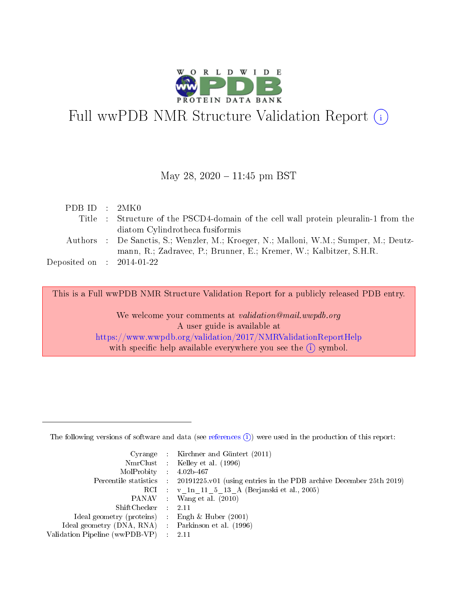

# Full wwPDB NMR Structure Validation Report (i)

# May 28,  $2020 - 11:45$  pm BST

| PDBID : 2MK0                         |                                                                                       |
|--------------------------------------|---------------------------------------------------------------------------------------|
|                                      | Title : Structure of the PSCD4-domain of the cell wall protein pleuralin-1 from the   |
|                                      | diatom Cylindrotheca fusiformis                                                       |
|                                      | Authors : De Sanctis, S.; Wenzler, M.; Kroeger, N.; Malloni, W.M.; Sumper, M.; Deutz- |
|                                      | mann, R.; Zadravec, P.; Brunner, E.; Kremer, W.; Kalbitzer, S.H.R.                    |
| Deposited on $\therefore$ 2014-01-22 |                                                                                       |
|                                      |                                                                                       |

This is a Full wwPDB NMR Structure Validation Report for a publicly released PDB entry.

We welcome your comments at *validation@mail.wwpdb.org* A user guide is available at <https://www.wwpdb.org/validation/2017/NMRValidationReportHelp> with specific help available everywhere you see the  $(i)$  symbol.

The following versions of software and data (see [references](https://www.wwpdb.org/validation/2017/NMRValidationReportHelp#references)  $(1)$ ) were used in the production of this report:

|                                                     | Cyrange : Kirchner and Güntert $(2011)$                                                    |
|-----------------------------------------------------|--------------------------------------------------------------------------------------------|
|                                                     | NmrClust : Kelley et al. (1996)                                                            |
| $MolProbability$ 4.02b-467                          |                                                                                            |
|                                                     | Percentile statistics : 20191225.v01 (using entries in the PDB archive December 25th 2019) |
|                                                     | RCI : v 1n 11 5 13 A (Berjanski et al., 2005)                                              |
|                                                     | PANAV Wang et al. (2010)                                                                   |
| $ShiftChecker$ 2.11                                 |                                                                                            |
| Ideal geometry (proteins) : Engh $\&$ Huber (2001)  |                                                                                            |
| Ideal geometry (DNA, RNA) : Parkinson et al. (1996) |                                                                                            |
| Validation Pipeline (wwPDB-VP)                      | $\sim 2.11$                                                                                |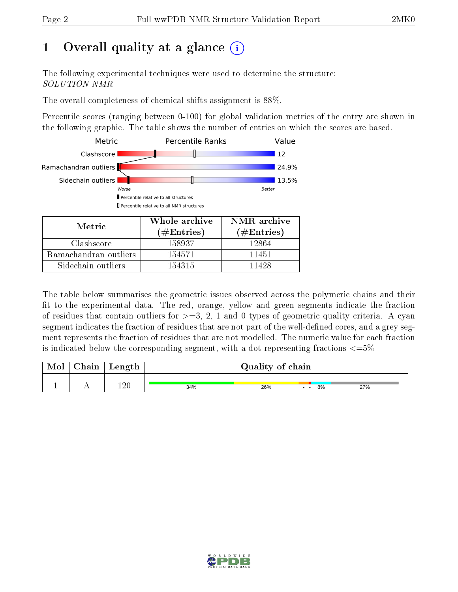# 1 [O](https://www.wwpdb.org/validation/2017/NMRValidationReportHelp#overall_quality)verall quality at a glance  $(i)$

The following experimental techniques were used to determine the structure: SOLUTION NMR

The overall completeness of chemical shifts assignment is 88%.

Percentile scores (ranging between 0-100) for global validation metrics of the entry are shown in the following graphic. The table shows the number of entries on which the scores are based.



| Metric                | (# ${\rm Entries}$ ) | $(\#\text{Entries})$ |  |
|-----------------------|----------------------|----------------------|--|
| Clashscore            | 158937               | 12864                |  |
| Ramachandran outliers | 154571               | 11451                |  |
| Sidechain outliers    | 154315               | 11428                |  |

The table below summarises the geometric issues observed across the polymeric chains and their fit to the experimental data. The red, orange, yellow and green segments indicate the fraction of residues that contain outliers for  $>=3, 2, 1$  and 0 types of geometric quality criteria. A cyan segment indicates the fraction of residues that are not part of the well-defined cores, and a grey segment represents the fraction of residues that are not modelled. The numeric value for each fraction is indicated below the corresponding segment, with a dot representing fractions  $\epsilon = 5\%$ 

| Mol | ${\rm Chain}$ | Length  | Quality of chain |     |  |    |     |
|-----|---------------|---------|------------------|-----|--|----|-----|
|     |               | $120\,$ | 34%              | 26% |  | 8% | 27% |

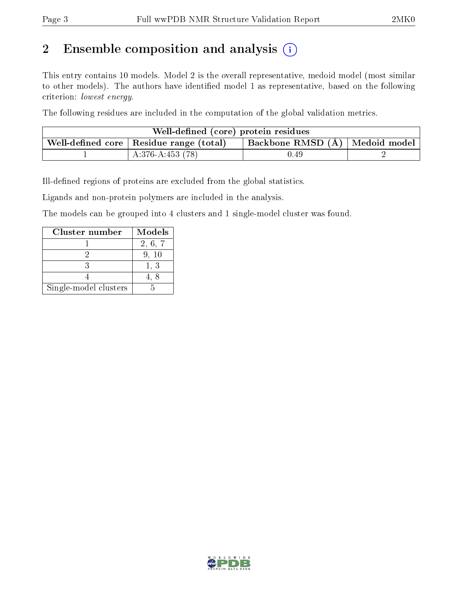# 2 Ensemble composition and analysis  $(i)$

This entry contains 10 models. Model 2 is the overall representative, medoid model (most similar to other models). The authors have identified model 1 as representative, based on the following criterion: lowest energy.

The following residues are included in the computation of the global validation metrics.

| Well-defined (core) protein residues                                                 |                   |       |  |  |  |  |
|--------------------------------------------------------------------------------------|-------------------|-------|--|--|--|--|
| Backbone RMSD (Å)   Medoid model  <br>Well-defined core $\mid$ Residue range (total) |                   |       |  |  |  |  |
|                                                                                      | $A:376-A:453(78)$ | .).49 |  |  |  |  |

Ill-defined regions of proteins are excluded from the global statistics.

Ligands and non-protein polymers are included in the analysis.

The models can be grouped into 4 clusters and 1 single-model cluster was found.

| Cluster number        | <b>Models</b> |
|-----------------------|---------------|
|                       | 2, 6, 7       |
|                       | 9, 10         |
|                       | 1, 3          |
|                       |               |
| Single-model clusters |               |

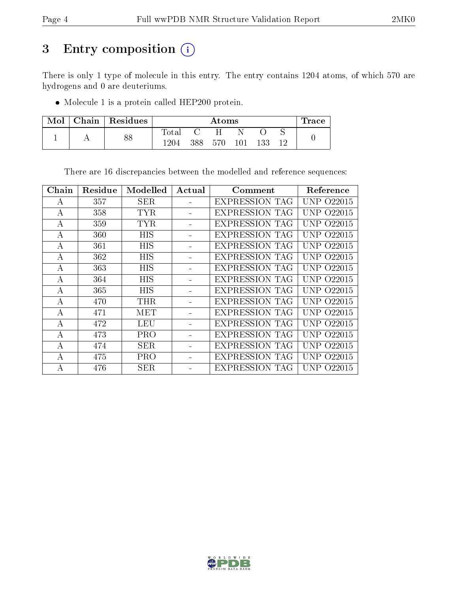# 3 Entry composition (i)

There is only 1 type of molecule in this entry. The entry contains 1204 atoms, of which 570 are hydrogens and 0 are deuteriums.

Molecule 1 is a protein called HEP200 protein.

| Mol | $\mid$ Chain $\mid$ Residues |       | Atoms |              |         |     |     | l'race |
|-----|------------------------------|-------|-------|--------------|---------|-----|-----|--------|
|     |                              | Total |       | $\mathbf{H}$ |         |     |     |        |
|     | 88                           | 1204. | 388   | 570          | $101\,$ | 133 | 1 ດ |        |

There are 16 discrepancies between the modelled and reference sequences:

| Chain    | Residue | Modelled   | Actual | Comment               | Reference         |
|----------|---------|------------|--------|-----------------------|-------------------|
| A        | 357     | <b>SER</b> |        | <b>EXPRESSION TAG</b> | UNP 022015        |
| А        | 358     | <b>TYR</b> |        | <b>EXPRESSION TAG</b> | UNP 022015        |
| A        | 359     | <b>TYR</b> |        | <b>EXPRESSION TAG</b> | <b>UNP 022015</b> |
| A        | 360     | <b>HIS</b> |        | <b>EXPRESSION TAG</b> | UNP 022015        |
| A        | 361     | <b>HIS</b> |        | <b>EXPRESSION TAG</b> | UNP 022015        |
| A        | 362     | HIS        |        | <b>EXPRESSION TAG</b> | UNP 022015        |
| А        | 363     | HIS        |        | <b>EXPRESSION TAG</b> | UNP 022015        |
| A        | 364     | <b>HIS</b> |        | <b>EXPRESSION TAG</b> | UNP 022015        |
| А        | 365     | <b>HIS</b> |        | <b>EXPRESSION TAG</b> | UNP 022015        |
| A        | 470     | <b>THR</b> |        | <b>EXPRESSION TAG</b> | UNP 022015        |
| $\bf{A}$ | 471     | MET        |        | <b>EXPRESSION TAG</b> | UNP 022015        |
| А        | 472     | <b>LEU</b> |        | <b>EXPRESSION TAG</b> | UNP 022015        |
| А        | 473     | PRO        |        | <b>EXPRESSION TAG</b> | UNP 022015        |
| А        | 474     | <b>SER</b> |        | <b>EXPRESSION TAG</b> | UNP 022015        |
| A        | 475     | <b>PRO</b> |        | <b>EXPRESSION TAG</b> | UNP 022015        |
| А        | 476     | <b>SER</b> |        | <b>EXPRESSION TAG</b> | UNP-<br>O22015    |

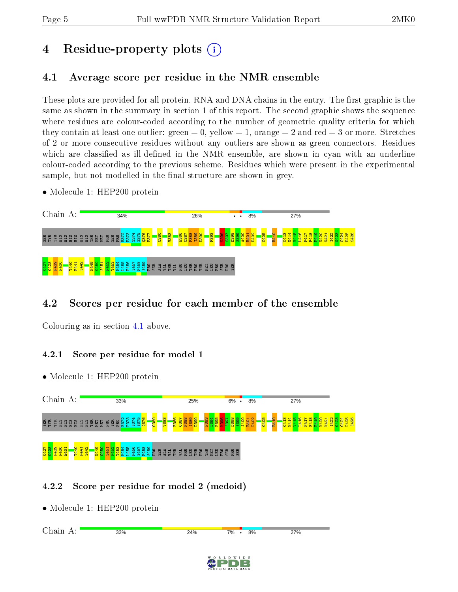# 4 Residue-property plots  $\binom{1}{1}$

# <span id="page-4-0"></span>4.1 Average score per residue in the NMR ensemble

These plots are provided for all protein, RNA and DNA chains in the entry. The first graphic is the same as shown in the summary in section 1 of this report. The second graphic shows the sequence where residues are colour-coded according to the number of geometric quality criteria for which they contain at least one outlier: green  $= 0$ , yellow  $= 1$ , orange  $= 2$  and red  $= 3$  or more. Stretches of 2 or more consecutive residues without any outliers are shown as green connectors. Residues which are classified as ill-defined in the NMR ensemble, are shown in cyan with an underline colour-coded according to the previous scheme. Residues which were present in the experimental sample, but not modelled in the final structure are shown in grey.

• Molecule 1: HEP200 protein



# 4.2 Scores per residue for each member of the ensemble

Colouring as in section [4.1](#page-4-0) above.

## 4.2.1 Score per residue for model 1

• Molecule 1: HEP200 protein



# 4.2.2 Score per residue for model 2 (medoid)

• Molecule 1: HEP200 protein

Chain A:33% 24%  $\cdot$  8% 27% 7%

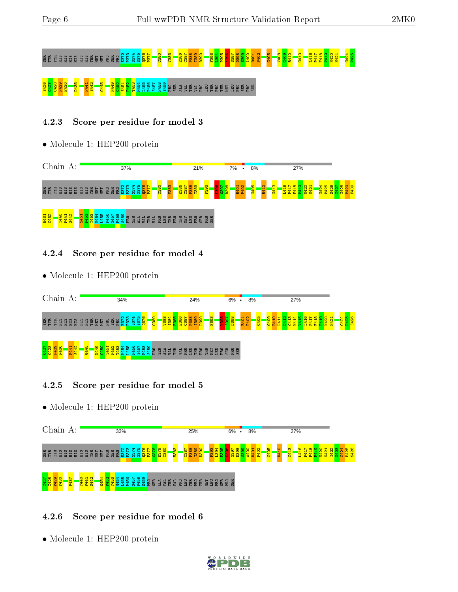# SER TYR TYR HIS HIS HIS HIS HIS HIS THR MET MET PRO SER PRO E372 P373 S374 S375 Q376 P377 C380 V383 E386 C387 P388 I389 D390 F393 L394 P395 K396 S397 D398 S399 A400 R401 P402 C405 V408 G409 R410 C413 L416 P417 F418 P419 N420 N421 C424 P425 S426 C427 C428 P429 F430 D435 P441 S442 G445 N449 C450 S451 P452 T453 M454 L455 P456 S457 P458 S459 PRO SER ALA VAL THR VAL PRO LEU THR PRO THR MET LEU PRO SER PRO SER

# 4.2.3 Score per residue for model 3

• Molecule 1: HEP200 protein



# 4.2.4 Score per residue for model 4

• Molecule 1: HEP200 protein



# 4.2.5 Score per residue for model 5

• Molecule 1: HEP200 protein



# 4.2.6 Score per residue for model 6

• Molecule 1: HEP200 protein

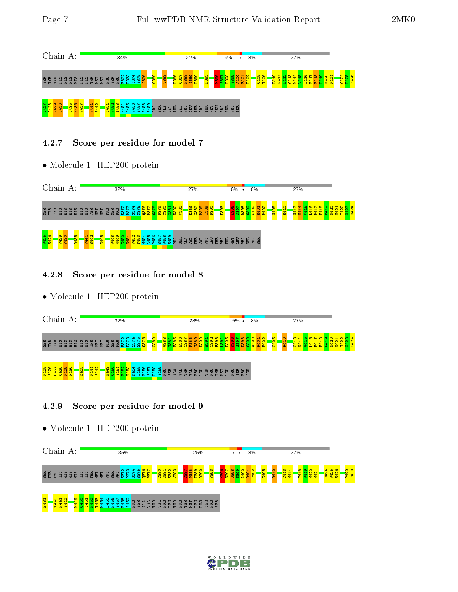

## 4.2.7 Score per residue for model 7

• Molecule 1: HEP200 protein



#### 4.2.8 Score per residue for model 8

• Molecule 1: HEP200 protein



## 4.2.9 Score per residue for model 9

• Molecule 1: HEP200 protein



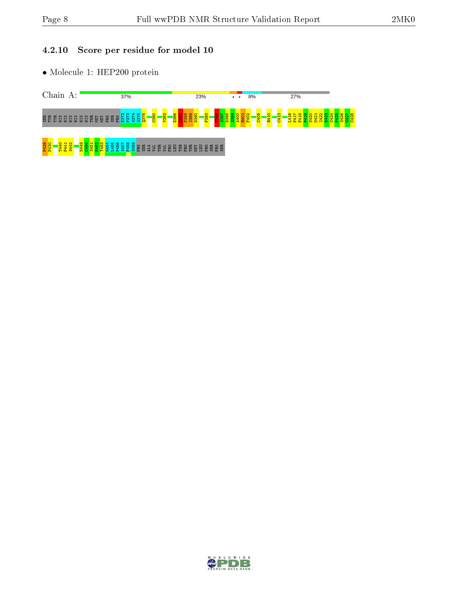# 4.2.10 Score per residue for model 10

• Molecule 1: HEP200 protein



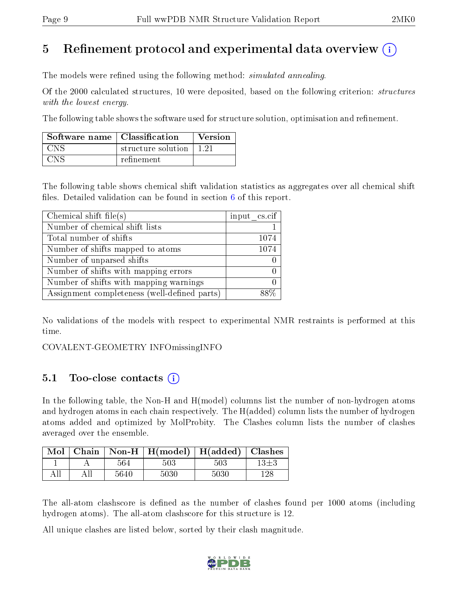# 5 Refinement protocol and experimental data overview  $\binom{1}{k}$

The models were refined using the following method: *simulated annealing*.

Of the 2000 calculated structures, 10 were deposited, based on the following criterion: *structures* with the lowest energy.

The following table shows the software used for structure solution, optimisation and refinement.

| Software name   Classification |                    | Version |
|--------------------------------|--------------------|---------|
| <b>CNS</b>                     | structure solution | 121     |
| C <sub>N</sub>                 | refinement         |         |

The following table shows chemical shift validation statistics as aggregates over all chemical shift files. Detailed validation can be found in section  $6$  of this report.

| Chemical shift file(s)                       | input cs.cif |
|----------------------------------------------|--------------|
| Number of chemical shift lists               |              |
| Total number of shifts                       | 1074         |
| Number of shifts mapped to atoms             | 1074         |
| Number of unparsed shifts                    |              |
| Number of shifts with mapping errors         |              |
| Number of shifts with mapping warnings       |              |
| Assignment completeness (well-defined parts) |              |

No validations of the models with respect to experimental NMR restraints is performed at this time.

COVALENT-GEOMETRY INFOmissingINFO

# 5.1 Too-close contacts (i)

In the following table, the Non-H and H(model) columns list the number of non-hydrogen atoms and hydrogen atoms in each chain respectively. The H(added) column lists the number of hydrogen atoms added and optimized by MolProbity. The Clashes column lists the number of clashes averaged over the ensemble.

|     |     |      | $\boxed{\text{Mol}$ Chain   Non-H   H(model)   H(added)   Clashes |      |          |
|-----|-----|------|-------------------------------------------------------------------|------|----------|
|     |     | 564  | 503                                                               | 503  | $13\pm3$ |
| All | All | 5640 | 5030                                                              | 5030 | 128      |

The all-atom clashscore is defined as the number of clashes found per 1000 atoms (including hydrogen atoms). The all-atom clashscore for this structure is 12.

All unique clashes are listed below, sorted by their clash magnitude.

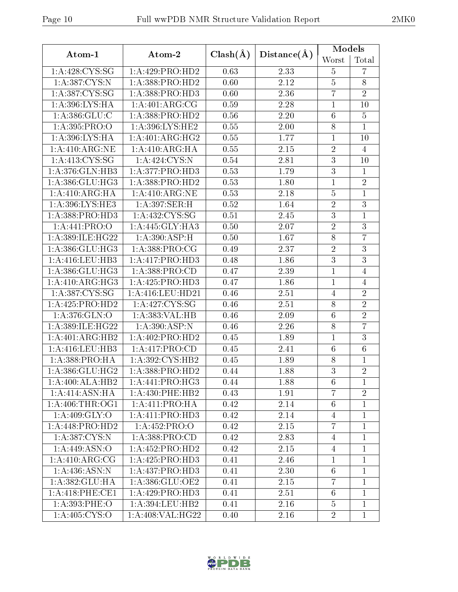| Atom-1                      | Atom-2                      | $Clash(\AA)$ | Distance(A) | Models          |                |
|-----------------------------|-----------------------------|--------------|-------------|-----------------|----------------|
|                             |                             |              |             | Worst           | Total          |
| 1: A:428: CYS:SG            | 1:A:429:PRO:HD2             | 0.63         | 2.33        | 5               | $\overline{7}$ |
| 1:A:387:CYS:N               | 1:A:388:PRO:HD2             | 0.60         | 2.12        | $\bf 5$         | $8\,$          |
| 1: A: 387: CYS: SG          | 1:A:388:PRO:HD3             | 0.60         | 2.36        | $\overline{7}$  | $\overline{2}$ |
| 1:A:396:LYS:HA              | 1: A:401: ARG:CG            | 0.59         | 2.28        | $\mathbf{1}$    | 10             |
| 1: A:386: GLU: C            | 1:A:388:PRO:HD2             | $0.56\,$     | 2.20        | $\,6\,$         | $\overline{5}$ |
| 1:A:395:PRO:O               | 1: A:396: LYS: HE2          | 0.55         | 2.00        | $8\,$           | $\mathbf{1}$   |
| 1: A:396: LYS: HA           | 1: A:401: ARG: HG2          | 0.55         | 1.77        | $\mathbf 1$     | 10             |
| 1:A:410:ARG:NE              | 1:A:410:ARG:HA              | 0.55         | $2.15\,$    | $\sqrt{2}$      | $\overline{4}$ |
| 1: A: 413: CYS: SG          | 1:A:424:CYS:N               | 0.54         | 2.81        | $\sqrt{3}$      | 10             |
| 1: A:376: GLN: HB3          | 1:A:377:PRO:HD3             | 0.53         | 1.79        | $\overline{3}$  | $\mathbf{1}$   |
| 1:A:386:GLU:HG3             | 1:A:388:PRO:HD2             | 0.53         | 1.80        | $\mathbf{1}$    | $\overline{2}$ |
| 1: A:410:ARG:HA             | 1:A:410:ARG:NE              | 0.53         | 2.18        | $\bf 5$         | $\mathbf{1}$   |
| 1:A:396:LYS:HE3             | 1:A:397:SER:H               | 0.52         | 1.64        | $\overline{2}$  | $\overline{3}$ |
| 1: A: 388: PRO: HD3         | 1:A:432:CYS:SG              | 0.51         | 2.45        | $\overline{3}$  | $\mathbf{1}$   |
| 1:A:441:PRO:O               | 1:A:445:GLY:HA3             | 0.50         | 2.07        | $\overline{2}$  | $\overline{3}$ |
| 1:A:389:ILE:HG22            | 1:A:390:ASP:H               | 0.50         | 1.67        | $\,8\,$         | $\overline{7}$ |
| 1: A:386: GLU: HG3          | 1:A:388:PRO:CG              | 0.49         | 2.37        | $\overline{2}$  | $\overline{3}$ |
| 1:A:416:LEU:HB3             | 1:A:417:PRO:HD3             | 0.48         | 1.86        | $\sqrt{3}$      | $\overline{3}$ |
| 1:A:386:GLU:HG3             | 1:A:388:PRO:CD              | 0.47         | 2.39        | $\mathbf{1}$    | $\overline{4}$ |
| 1:A:410:ARG:HG3             | 1:A:425:PRO:HD3             | 0.47         | 1.86        | $\mathbf{1}$    | $\overline{4}$ |
| 1:A:387:CYS:SG              | 1:A:416:LEU:HD21            | 0.46         | 2.51        | $\overline{4}$  | $\sqrt{2}$     |
| 1:A:425:PRO:HD2             | 1:A:427:CYS:SG              | 0.46         | 2.51        | $8\,$           | $\overline{2}$ |
| 1: A:376: GLN:O             | 1:A:383:VAL:HB              | 0.46         | 2.09        | $\,6$           | $\overline{2}$ |
| 1: A:389: ILE: HG22         | 1: A:390:ASP:N              | 0.46         | 2.26        | $8\,$           | $\overline{7}$ |
| 1:A:401:ARG:HB2             | 1:A:402:PRO:HD2             | 0.45         | 1.89        | $\mathbf 1$     | $\overline{3}$ |
| 1: A: 416: LEU: HB3         | 1:A:417:PRO:CD              | 0.45         | 2.41        | $6\phantom{.}6$ | $6\,$          |
| 1:A:388:PRO:HA              | 1: A:392: CYS:HB2           | 0.45         | 1.89        | $8\phantom{1}$  | $\mathbf{1}$   |
| 1: A: 386: GLU: HG2         | 1:A:388:PRO:HD2             | 0.44         | 1.88        | 3               | $\overline{2}$ |
| 1:A:400:ALA:HB2             | 1:A:441:PRO:HG3             | 0.44         | 1.88        | 6               | $\perp$        |
| 1:A:414:ASN:HA              | $1: A:430:$ PHE:HB2         | 0.43         | 1.91        | $\overline{7}$  | $\overline{2}$ |
| 1: A:406:THR:OG1            | 1:A:411:PRO:HA              | 0.42         | 2.14        | $6\phantom{.}6$ | $\mathbf 1$    |
| 1: A:409: GLY:O             | 1:A:411:PRO:HD3             | 0.42         | 2.14        | $\overline{4}$  | $\mathbf{1}$   |
| 1:A:448:PRO:HD2             | 1:A:452:PRO:O               | 0.42         | 2.15        | $\overline{7}$  | $\mathbf{1}$   |
| 1: A: 387: CYS:N            | 1: A: 388: PRO:CD           | 0.42         | 2.83        | $\overline{4}$  | $\mathbf{1}$   |
| 1: A:449: ASN:O             | 1:A:452:PRO:HD2             | 0.42         | 2.15        | 4               | 1              |
| $1:A:\overline{410:ARG:CG}$ | 1:A:425:PRO:HD3             | 0.41         | 2.46        | $\mathbf{1}$    | $\mathbf{1}$   |
| 1:A:436:ASN:N               | 1:A:437:PRO:H <sub>D3</sub> | 0.41         | 2.30        | 6               | $\mathbf{1}$   |
| 1:A:382:GLU:HA              | 1:A:386:GLU:OE2             | 0.41         | 2.15        | $\overline{7}$  | $\mathbf{1}$   |
| 1: A:418: PHE:CE1           | 1:A:429:PRO:HD3             | 0.41         | 2.51        | $6\phantom{.}6$ | $\mathbf{1}$   |
| 1: A:393:PHE:O              | 1:A:394:LEU:HB2             | 0.41         | 2.16        | $\overline{5}$  | $\mathbf{1}$   |
| 1: A:405: CYS:O             | 1:A:408:VAL:HG22            | 0.40         | 2.16        | $\overline{2}$  | $\mathbf{1}$   |

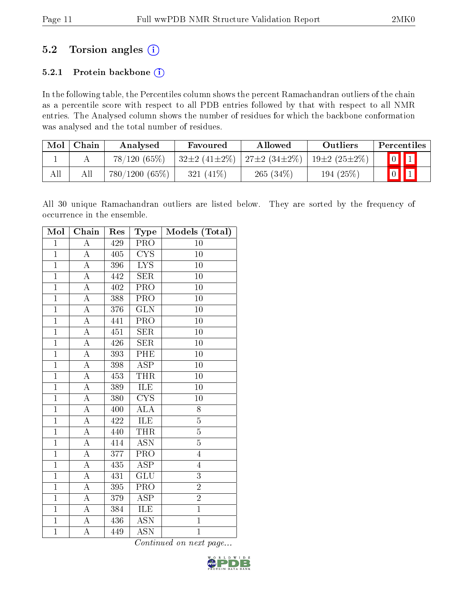# $5.2$  Torsion angles  $(i)$

# 5.2.1 Protein backbone (i)

In the following table, the Percentiles column shows the percent Ramachandran outliers of the chain as a percentile score with respect to all PDB entries followed by that with respect to all NMR entries. The Analysed column shows the number of residues for which the backbone conformation was analysed and the total number of residues.

| Mol | Chain | Analysed      | <b>Allowed</b><br>Favoured |                    | Outliers           | Percentiles             |
|-----|-------|---------------|----------------------------|--------------------|--------------------|-------------------------|
|     |       | 78/120(65%)   | $32\pm2(41\pm2\%)$         | $27\pm2(34\pm2\%)$ | $19\pm2(25\pm2\%)$ | $\boxed{0}$ $\boxed{1}$ |
| All |       | 780/1200(65%) | 321 $(41\%)$               | $265(34\%)$        | 194 $(25%)$        | $\vert 0 \vert$         |

All 30 unique Ramachandran outliers are listed below. They are sorted by the frequency of occurrence in the ensemble.

| Mol            | Chain              | Res | $_{\rm Type}$           | Models (Total)  |
|----------------|--------------------|-----|-------------------------|-----------------|
| $\mathbf{1}$   | $\boldsymbol{A}$   | 429 | <b>PRO</b>              | 10              |
| $\overline{1}$ | А                  | 405 | CYS                     | 10              |
| $\overline{1}$ | $\rm A$            | 396 | L <sub>Y</sub>          | 10              |
| $\mathbf{1}$   | $\overline{\rm A}$ | 442 | SER                     | 10              |
| $\overline{1}$ | $\rm A$            | 402 | PRO                     | 10              |
| $\overline{1}$ | $\overline{\rm A}$ | 388 | $\overline{\text{PRO}}$ | 10              |
| $\mathbf{1}$   | A                  | 376 | $\overline{\text{GLN}}$ | 10              |
| $\overline{1}$ | A                  | 441 | PRO                     | 10              |
| $\overline{1}$ | $\overline{A}$     | 451 | SER                     | 10              |
| $\mathbf{1}$   | $\overline{\rm A}$ | 426 | <b>SER</b>              | 10              |
| $\overline{1}$ | A                  | 393 | $\overline{\rm PHE}$    | 10              |
| $\mathbf{1}$   | $\overline{\rm A}$ | 398 | ASP                     | 10              |
| $\mathbf{1}$   | A                  | 453 | THR                     | 10              |
| $\overline{1}$ | $\overline{\rm A}$ | 389 | ILE                     | $\overline{10}$ |
| $\mathbf{1}$   | $\overline{\rm A}$ | 380 | <b>CYS</b>              | 10              |
| $\overline{1}$ | $\overline{\rm A}$ | 400 | $\overline{\rm ALA}$    | 8               |
| $\overline{1}$ | A                  | 422 | ILE                     | $\overline{5}$  |
| $\overline{1}$ | $\overline{A}$     | 440 | <b>THR</b>              | $\overline{5}$  |
| $\overline{1}$ | $\overline{\rm A}$ | 414 | <b>ASN</b>              | $\overline{5}$  |
| $\overline{1}$ | A                  | 377 | $\overline{\text{PRO}}$ | $\overline{4}$  |
| $\overline{1}$ | $\overline{A}$     | 435 | $\overline{\text{ASP}}$ | $\overline{4}$  |
| $\overline{1}$ | $\overline{\rm A}$ | 431 | GLU                     | 3               |
| $\overline{1}$ | А                  | 395 | PRO                     | $\overline{2}$  |
| $\mathbf{1}$   | $\overline{A}$     | 379 | <b>ASP</b>              | $\overline{2}$  |
| $\overline{1}$ | $\overline{\rm A}$ | 384 | ILE                     | $\overline{1}$  |
| $\overline{1}$ | $\overline{\rm A}$ | 436 | $\overline{\text{ASN}}$ | $\overline{1}$  |
| $\overline{1}$ | $\overline{\rm A}$ | 449 | <b>ASN</b>              | $\overline{1}$  |

Continued on next page...

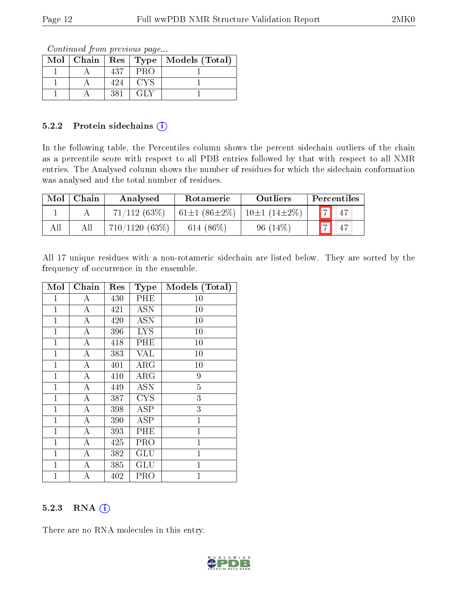Continued from previous page...

|  |     |     | Mol   Chain   Res   Type   Models (Total) |
|--|-----|-----|-------------------------------------------|
|  | 437 | PRO |                                           |
|  | 424 | CYS |                                           |
|  | 381 |     |                                           |

#### 5.2.2 Protein sidechains (i)

In the following table, the Percentiles column shows the percent sidechain outliers of the chain as a percentile score with respect to all PDB entries followed by that with respect to all NMR entries. The Analysed column shows the number of residues for which the sidechain conformation was analysed and the total number of residues.

| Mol | Chain | Analysed      | Rotameric                 | <b>Outliers</b>             |          | Percentiles |
|-----|-------|---------------|---------------------------|-----------------------------|----------|-------------|
|     |       | 71/112(63%)   | 61 $\pm$ 1 (86 $\pm$ 2\%) | $\pm 10 \pm 1 (14 \pm 2\%)$ | <b>1</b> | 47          |
|     | All   | 710/1120(63%) | 614 $(86\%)$              | $96(14\%$                   |          | 47          |

All 17 unique residues with a non-rotameric sidechain are listed below. They are sorted by the frequency of occurrence in the ensemble.

| Mol            | Chain              | $\operatorname{Res}% \left( \mathcal{N}\right) \equiv\operatorname{Res}(\mathcal{N}_{0})\cap\mathcal{N}_{1}$ | Type                    | Models (Total) |
|----------------|--------------------|--------------------------------------------------------------------------------------------------------------|-------------------------|----------------|
| 1              | А                  | 430                                                                                                          | PHE                     | 10             |
| $\overline{1}$ | $\overline{\rm A}$ | 421                                                                                                          | $\overline{\text{ASN}}$ | 10             |
| $\mathbf{1}$   | $\overline{A}$     | 420                                                                                                          | <b>ASN</b>              | 10             |
| $\mathbf{1}$   | A                  | 396                                                                                                          | <b>LYS</b>              | 10             |
| $\mathbf{1}$   | А                  | 418                                                                                                          | PHE                     | 10             |
| $\overline{1}$ | $\boldsymbol{A}$   | 383                                                                                                          | <b>VAL</b>              | 10             |
| $\mathbf{1}$   | $\overline{\rm A}$ | 401                                                                                                          | ${\rm ARG}$             | 10             |
| $\mathbf{1}$   | $\boldsymbol{A}$   | 410                                                                                                          | $\rm{ARG}$              | 9              |
| $\mathbf{1}$   | $\boldsymbol{A}$   | 449                                                                                                          | <b>ASN</b>              | $\overline{5}$ |
| $\mathbf{1}$   | $\boldsymbol{A}$   | 387                                                                                                          | <b>CYS</b>              | $\overline{3}$ |
| $\mathbf{1}$   | $\bf{A}$           | 398                                                                                                          | ASP                     | 3              |
| $\mathbf{1}$   | $\boldsymbol{A}$   | 390                                                                                                          | <b>ASP</b>              | $\mathbf{1}$   |
| $\mathbf{1}$   | $\bf{A}$           | 393                                                                                                          | PHE                     | $\mathbf{1}$   |
| $\mathbf{1}$   | $\overline{\rm A}$ | 425                                                                                                          | PRO                     | $\mathbf{1}$   |
| $\mathbf{1}$   | $\boldsymbol{A}$   | 382                                                                                                          | GLU                     | $\mathbf 1$    |
| $\mathbf{1}$   | $\overline{A}$     | 385                                                                                                          | GLU                     | $\mathbf{1}$   |
| $\mathbf{1}$   | А                  | 402                                                                                                          | PRO                     | $\mathbf 1$    |

## 5.2.3 RNA (1)

There are no RNA molecules in this entry.

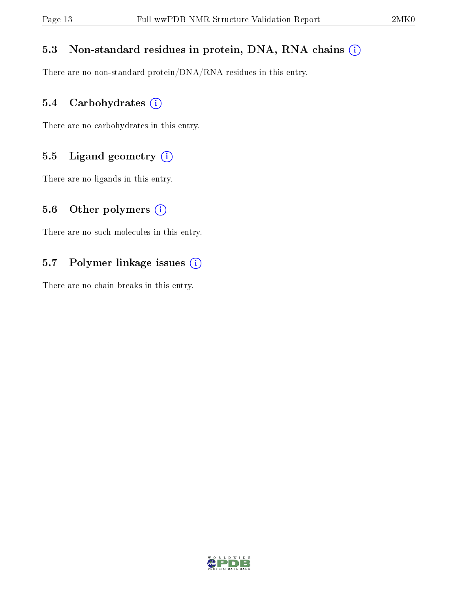# 5.3 Non-standard residues in protein, DNA, RNA chains (i)

There are no non-standard protein/DNA/RNA residues in this entry.

# 5.4 Carbohydrates (i)

There are no carbohydrates in this entry.

# 5.5 Ligand geometry  $(i)$

There are no ligands in this entry.

## 5.6 [O](https://www.wwpdb.org/validation/2017/NMRValidationReportHelp#nonstandard_residues_and_ligands)ther polymers  $(i)$

There are no such molecules in this entry.

# 5.7 Polymer linkage issues (i)

There are no chain breaks in this entry.

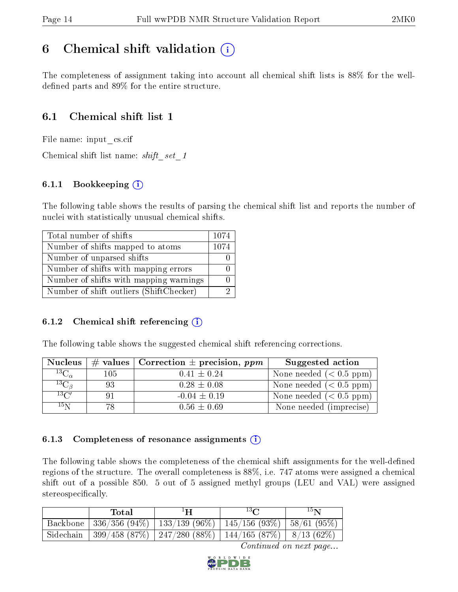# <span id="page-13-0"></span>6 Chemical shift validation  $\left( \begin{array}{c} \overline{1} \end{array} \right)$

The completeness of assignment taking into account all chemical shift lists is 88% for the welldefined parts and  $89\%$  for the entire structure.

# 6.1 Chemical shift list 1

File name: input\_cs.cif

Chemical shift list name: shift set 1

## 6.1.1 Bookkeeping (i)

The following table shows the results of parsing the chemical shift list and reports the number of nuclei with statistically unusual chemical shifts.

| Total number of shifts                  | 1074 |
|-----------------------------------------|------|
| Number of shifts mapped to atoms        | 1074 |
| Number of unparsed shifts               |      |
| Number of shifts with mapping errors    |      |
| Number of shifts with mapping warnings  |      |
| Number of shift outliers (ShiftChecker) |      |

#### 6.1.2 Chemical shift referencing  $(i)$

The following table shows the suggested chemical shift referencing corrections.

| <b>Nucleus</b>      |     | $\#$ values   Correction $\pm$ precision, ppm | Suggested action        |
|---------------------|-----|-----------------------------------------------|-------------------------|
| ${}^{13}C_{\alpha}$ | 105 | $0.41 \pm 0.24$                               | None needed $(0.5 ppm)$ |
| ${}^{13}C_{\beta}$  | 93  | $0.28 \pm 0.08$                               | None needed $(0.5 ppm)$ |
| $13\text{C}$        | 91  | $-0.04 \pm 0.19$                              | None needed $(0.5 ppm)$ |
| $15\,\mathrm{N}$    | 78. | $0.56 \pm 0.69$                               | None needed (imprecise) |

#### 6.1.3 Completeness of resonance assignments  $(i)$

The following table shows the completeness of the chemical shift assignments for the well-defined regions of the structure. The overall completeness is 88%, i.e. 747 atoms were assigned a chemical shift out of a possible 850. 5 out of 5 assigned methyl groups (LEU and VAL) were assigned stereospecifically.

| Total | ŀН                                                                     | $13\Omega$ | 15 <sub>N</sub> |
|-------|------------------------------------------------------------------------|------------|-----------------|
|       | Backbone   336/356 (94%)   133/139 (96%)   145/156 (93%)   58/61 (95%) |            |                 |
|       | Sidechain   399/458 (87%)   247/280 (88%)   144/165 (87%)   8/13 (62%) |            |                 |

Continued on next page...

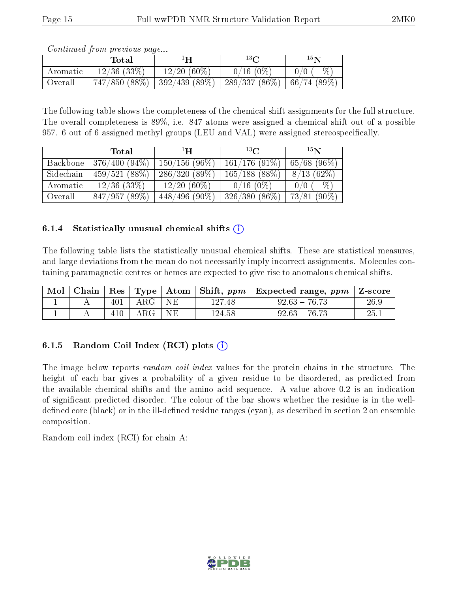|           | Total          | ŀН                                                 | $13\Omega$  | 15 N                  |
|-----------|----------------|----------------------------------------------------|-------------|-----------------------|
| Aromatic  | $12/36$ (33\%) | $12/20(60\%)$                                      | $0/16(0\%)$ | $0/0$ (-\geq \left(\) |
| ' Overall |                | $747/850$ (88\%)   392/439 (89\%)   289/337 (86\%) |             | 66/74(89%)            |

Continued from previous page...

The following table shows the completeness of the chemical shift assignments for the full structure. The overall completeness is 89%, i.e. 847 atoms were assigned a chemical shift out of a possible 957. 6 out of 6 assigned methyl groups (LEU and VAL) were assigned stereospecifically.

|           | Total          | $\mathbf{H}^{\perp}$ | $^{13}$ $C$      | 15 <sub>N</sub> |
|-----------|----------------|----------------------|------------------|-----------------|
| Backbone  | 376/400 (94%)  | $150/156(96\%)$      | $161/176(91\%)$  | $65/68$ (96\%)  |
| Sidechain | 459/521(88%)   | 286/320(89%)         | $165/188$ (88\%) | 8/13(62%)       |
| Aromatic  | $12/36$ (33\%) | $12/20(60\%)$        | $0/16$ (0\%)     | $0/0$ (-%)      |
| Overall   | 847/957(89%)   | $448/496(90\%)$      | $326/380(86\%)$  | $73/81(90\%)$   |

#### 6.1.4 Statistically unusual chemical shifts  $(i)$

The following table lists the statistically unusual chemical shifts. These are statistical measures, and large deviations from the mean do not necessarily imply incorrect assignments. Molecules containing paramagnetic centres or hemes are expected to give rise to anomalous chemical shifts.

| Mol |     |              |     |        | Chain   Res   Type   Atom   Shift, $ppm$   Expected range, $ppm$   Z-score |      |
|-----|-----|--------------|-----|--------|----------------------------------------------------------------------------|------|
|     | 401 | $\rm{ARG}$ + | -NE | 127.48 | $92.63 - 76.73$                                                            | 26.9 |
|     | 410 | ARG '        | NE. | 124.58 | $92.63 - 76.73$                                                            | 25.1 |

## 6.1.5 Random Coil Index  $(RCI)$  plots  $(i)$

The image below reports *random coil index* values for the protein chains in the structure. The height of each bar gives a probability of a given residue to be disordered, as predicted from the available chemical shifts and the amino acid sequence. A value above 0.2 is an indication of signicant predicted disorder. The colour of the bar shows whether the residue is in the welldefined core (black) or in the ill-defined residue ranges (cyan), as described in section 2 on ensemble composition.

Random coil index (RCI) for chain A: